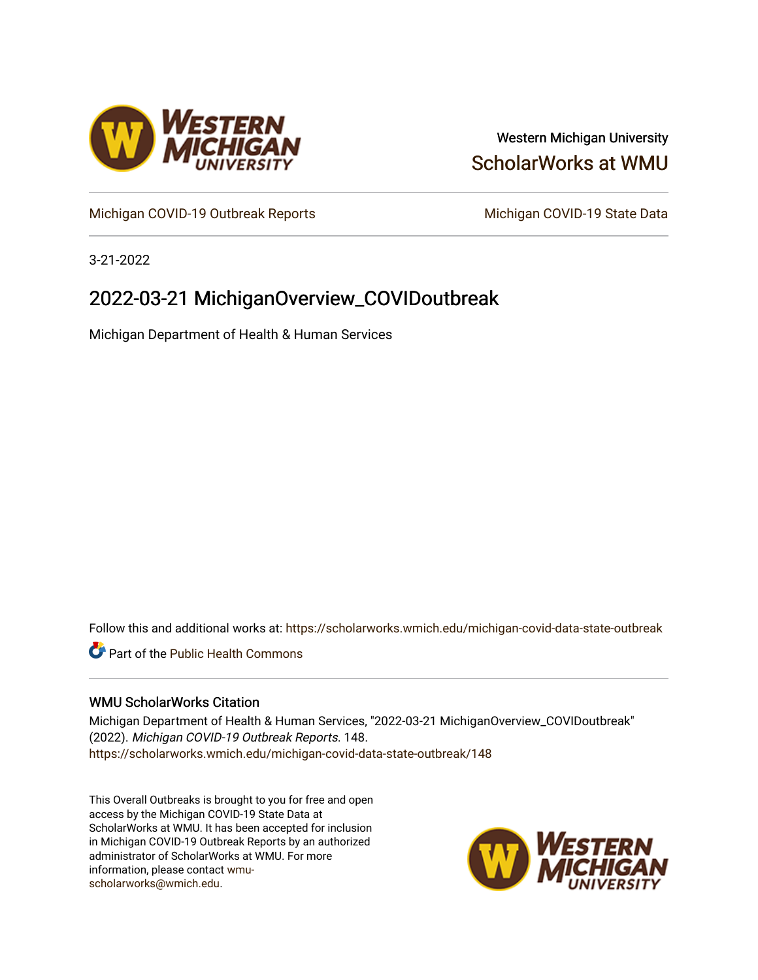

# Western Michigan University [ScholarWorks at WMU](https://scholarworks.wmich.edu/)

[Michigan COVID-19 Outbreak Reports](https://scholarworks.wmich.edu/michigan-covid-data-state-outbreak) Michigan COVID-19 State Data

3-21-2022

# 2022-03-21 MichiganOverview\_COVIDoutbreak

Michigan Department of Health & Human Services

Follow this and additional works at: [https://scholarworks.wmich.edu/michigan-covid-data-state-outbreak](https://scholarworks.wmich.edu/michigan-covid-data-state-outbreak?utm_source=scholarworks.wmich.edu%2Fmichigan-covid-data-state-outbreak%2F148&utm_medium=PDF&utm_campaign=PDFCoverPages)

**C** Part of the Public Health Commons

#### WMU ScholarWorks Citation

Michigan Department of Health & Human Services, "2022-03-21 MichiganOverview\_COVIDoutbreak" (2022). Michigan COVID-19 Outbreak Reports. 148. [https://scholarworks.wmich.edu/michigan-covid-data-state-outbreak/148](https://scholarworks.wmich.edu/michigan-covid-data-state-outbreak/148?utm_source=scholarworks.wmich.edu%2Fmichigan-covid-data-state-outbreak%2F148&utm_medium=PDF&utm_campaign=PDFCoverPages) 

This Overall Outbreaks is brought to you for free and open access by the Michigan COVID-19 State Data at ScholarWorks at WMU. It has been accepted for inclusion in Michigan COVID-19 Outbreak Reports by an authorized administrator of ScholarWorks at WMU. For more information, please contact [wmu](mailto:wmu-scholarworks@wmich.edu)[scholarworks@wmich.edu.](mailto:wmu-scholarworks@wmich.edu)

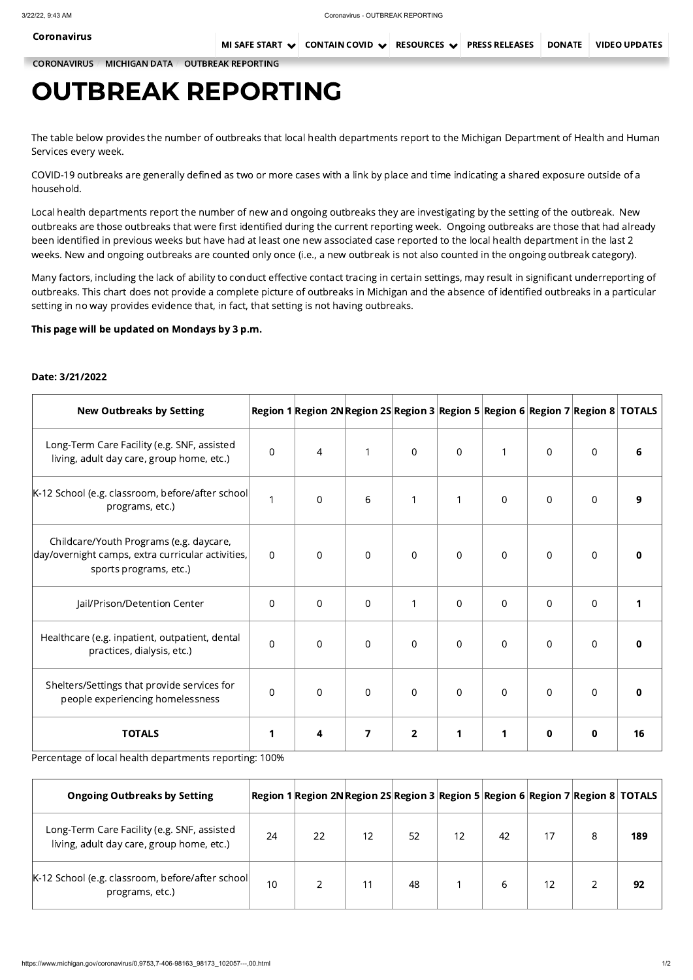[CORONAVIRUS](https://www.michigan.gov/coronavirus/) / [MICHIGAN](https://www.michigan.gov/coronavirus/0,9753,7-406-98163_98173---,00.html) DATA / OUTBREAK [REPORTING](https://www.michigan.gov/coronavirus/0,9753,7-406-98163_98173_102057---,00.html)

# OUTBREAK REPORTING

The table below provides the number of outbreaks that local health departments report to the Michigan Department of Health and Human Services every week.

COVID-19 outbreaks are generally defined as two or more cases with a link by place and time indicating a shared exposure outside of a household.

Local health departments report the number of new and ongoing outbreaks they are investigating by the setting of the outbreak. New outbreaks are those outbreaks that were first identified during the current reporting week. Ongoing outbreaks are those that had already been identified in previous weeks but have had at least one new associated case reported to the local health department in the last 2 weeks. New and ongoing outbreaks are counted only once (i.e., a new outbreak is not also counted in the ongoing outbreak category).

Many factors, including the lack of ability to conduct effective contact tracing in certain settings, may result in significant underreporting of outbreaks. This chart does not provide a complete picture of outbreaks in Michigan and the absence of identified outbreaks in a particular setting in no way provides evidence that, in fact, that setting is not having outbreaks.

# This page will be updated on Mondays by 3 p.m.

## Date: 3/21/2022

| <b>New Outbreaks by Setting</b>                                                                                        |                | $ \mathsf{Region}\;1 \mathsf{Region}\;2\mathsf{N} \mathsf{Region}\;2\mathsf{S} \mathsf{Region}\;3 \mathsf{Region}\;5 \mathsf{Region}\;6 \mathsf{Region}\;7 \mathsf{Region}\;8 \;TOTALS$ |                |                |                |                |                |                |   |
|------------------------------------------------------------------------------------------------------------------------|----------------|-----------------------------------------------------------------------------------------------------------------------------------------------------------------------------------------|----------------|----------------|----------------|----------------|----------------|----------------|---|
| Long-Term Care Facility (e.g. SNF, assisted<br>living, adult day care, group home, etc.)                               | $\overline{0}$ | $\overline{4}$                                                                                                                                                                          |                | $\overline{0}$ | $\overline{0}$ |                | $\overline{0}$ | $\overline{0}$ | 6 |
| K-12 School (e.g. classroom, before/after school <br>programs, etc.)                                                   |                | $\overline{0}$                                                                                                                                                                          | 6              | $\mathbf 1$    | $\mathbf{1}$   | $\overline{0}$ | $\overline{0}$ | $\overline{0}$ | 9 |
| Childcare/Youth Programs (e.g. daycare,<br>day/overnight camps, extra curricular activities,<br>sports programs, etc.) | $\overline{0}$ | $\overline{0}$                                                                                                                                                                          | $\overline{0}$ | $\overline{0}$ | $\overline{0}$ | $\overline{0}$ | $\overline{0}$ | $\overline{0}$ | 0 |
| Jail/Prison/Detention Center                                                                                           | $\overline{0}$ | $\overline{0}$                                                                                                                                                                          | $\overline{0}$ | $\overline{1}$ | $\overline{0}$ | $\overline{0}$ | $\overline{0}$ | $\overline{0}$ |   |
| Healthcare (e.g. inpatient, outpatient, dental<br>practices, dialysis, etc.)                                           | $\overline{0}$ | $\overline{0}$                                                                                                                                                                          | $\overline{0}$ | $\overline{0}$ | $\overline{0}$ | $\overline{0}$ | $\overline{0}$ | $\overline{0}$ | 0 |
| Shelters/Settings that provide services for<br>people experiencing homelessness                                        | $\overline{0}$ | $\overline{0}$                                                                                                                                                                          | $\overline{0}$ | $\overline{0}$ | $\overline{0}$ | $\overline{0}$ | $\overline{0}$ | $\overline{0}$ | 0 |
|                                                                                                                        |                |                                                                                                                                                                                         |                |                |                |                |                |                |   |

TOTALS 1 4 7 2 1 1 0 0 16

## Percentage of local health departments reporting: 100%

| <b>Ongoing Outbreaks by Setting</b>                                                      |    | $ \mathsf{Region}\;1 \mathsf{Region}\;2\mathsf{N} \mathsf{Region}\;2\mathsf{S} \mathsf{Region}\;3 \mathsf{Region}\;5 \mathsf{Region}\;6 \mathsf{Region}\;7 \mathsf{Region}\;8 \; \mathsf{TOTALS} $ |    |    |    |    |    |   |     |
|------------------------------------------------------------------------------------------|----|----------------------------------------------------------------------------------------------------------------------------------------------------------------------------------------------------|----|----|----|----|----|---|-----|
| Long-Term Care Facility (e.g. SNF, assisted<br>living, adult day care, group home, etc.) | 24 | 22                                                                                                                                                                                                 | 12 | 52 | 12 | 42 |    | 8 | 189 |
| K-12 School (e.g. classroom, before/after school <br>programs, etc.)                     | 10 |                                                                                                                                                                                                    |    | 48 |    |    | 12 |   | 92  |

[Coronavirus](https://www.michigan.gov/coronavirus/)

MI SAFE [START](https://www.michigan.gov/coronavirus/0,9753,7-406-100467---,00.html)  $\vee$  [CONTAIN](https://www.michigan.gov/coronavirus/0,9753,7-406-99891---,00.html) COVID  $\vee$  [RESOURCES](https://www.michigan.gov/coronavirus/0,9753,7-406-98178---,00.html)  $\vee$  PRESS [RELEASES](https://www.michigan.gov/coronavirus/0,9753,7-406-98158---,00.html) [DONATE](https://www.michigan.gov/coronavirus/0,9753,7-406-98178_98811---,00.html#block-3_115140) VIDEO [UPDATES](https://www.michigan.gov/coronavirus/0,9753,7-406-98414---,00.html)